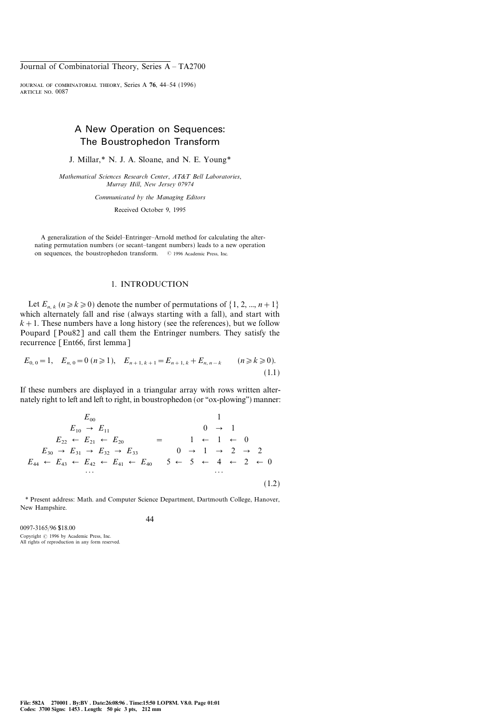# A New Operation on Sequences: The Boustrophedon Transform

J. Millar,\* N. J. A. Sloane, and N. E. Young\*

Mathematical Sciences Research Center, AT&T Bell Laboratories, Murray Hill, New Jersey 07974

Communicated by the Managing Editors

Received October 9, 1995

A generalization of the Seidel–Entringer–Arnold method for calculating the alternating permutation numbers (or secant-tangent numbers) leads to a new operation on sequences, the boustrophedon transform.  $\circ$  1996 Academic Press, Inc.

## 1. INTRODUCTION

Let  $E_{n,k}$   $(n \ge k \ge 0)$  denote the number of permutations of  $\{1, 2, ..., n+1\}$ which alternately fall and rise (always starting with a fall), and start with  $k+1$ . These numbers have a long history (see the references), but we follow Poupard [Pou82] and call them the Entringer numbers. They satisfy the recurrence [Ent66, first lemma]

$$
E_{0,0} = 1, \quad E_{n,0} = 0 \ (n \ge 1), \quad E_{n+1,k+1} = E_{n+1,k} + E_{n,n-k} \qquad (n \ge k \ge 0). \tag{1.1}
$$

If these numbers are displayed in a triangular array with rows written alternately right to left and left to right, in boustrophedon (or "ox-plowing") manner:

$$
E_{00} \t 1
$$
  
\n
$$
E_{10} \rightarrow E_{11} \t 0 \rightarrow 1
$$
  
\n
$$
E_{22} \leftarrow E_{21} \leftarrow E_{20} \t 1 \leftarrow 1 \leftarrow 0
$$
  
\n
$$
E_{30} \rightarrow E_{31} \rightarrow E_{32} \rightarrow E_{33} \t 0 \rightarrow 1 \rightarrow 2 \rightarrow 2
$$
  
\n
$$
E_{44} \leftarrow E_{43} \leftarrow E_{42} \leftarrow E_{41} \leftarrow E_{40} \t 5 \leftarrow 5 \leftarrow 4 \leftarrow 2 \leftarrow 0
$$
  
\n... (1.2)

\* Present address: Math. and Computer Science Department, Dartmouth College, Hanover, New Hampshire.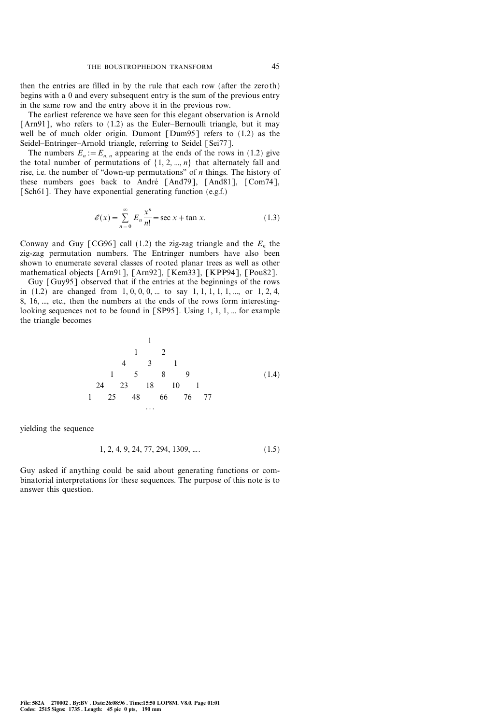then the entries are filled in by the rule that each row (after the zeroth) begins with a 0 and every subsequent entry is the sum of the previous entry in the same row and the entry above it in the previous row.

The earliest reference we have seen for this elegant observation is Arnold [Arn91], who refers to  $(1.2)$  as the Euler-Bernoulli triangle, but it may well be of much older origin. Dumont [Dum95] refers to (1.2) as the Seidel-Entringer-Arnold triangle, referring to Seidel [Sei77].

The numbers  $E_n := E_{n,n}$  appearing at the ends of the rows in (1.2) give the total number of permutations of  $\{1, 2, ..., n\}$  that alternately fall and rise, i.e. the number of "down-up permutations" of  $n$  things. The history of these numbers goes back to André [And79], [And81], [Com74], [Sch61]. They have exponential generating function (e.g.f.)

$$
\mathcal{E}(x) = \sum_{n=0}^{\infty} E_n \frac{x^n}{n!} = \sec x + \tan x.
$$
 (1.3)

Conway and Guy [CG96] call (1.2) the zig-zag triangle and the  $E_n$  the zig-zag permutation numbers. The Entringer numbers have also been shown to enumerate several classes of rooted planar trees as well as other mathematical objects [Arn91], [Arn92], [Kem33], [KPP94], [Pou82].

Guy [Guy95] observed that if the entries at the beginnings of the rows in  $(1.2)$  are changed from  $1, 0, 0, 0, ...$  to say  $1, 1, 1, 1, ...$ , or  $1, 2, 4$ , 8, 16, ..., etc., then the numbers at the ends of the rows form interestinglooking sequences not to be found in [SP95]. Using 1, 1, 1, ... for example the triangle becomes

> 1 (1.4) 1 2 431 15 89 24 23 18 10 1 1 25 48 66 76 77  $\ddot{\phantom{1}}$ .

yielding the sequence

$$
1, 2, 4, 9, 24, 77, 294, 1309, \dots
$$
\n
$$
(1.5)
$$

Guy asked if anything could be said about generating functions or combinatorial interpretations for these sequences. The purpose of this note is to answer this question.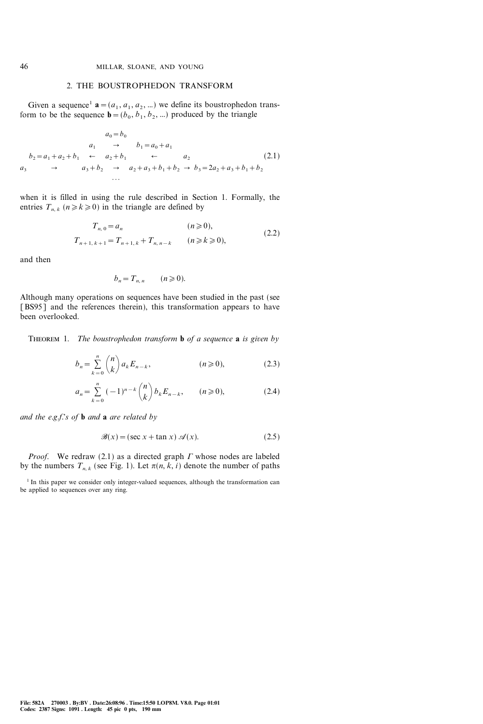### 2. THE BOUSTROPHEDON TRANSFORM

Given a sequence<sup>1</sup>  $\mathbf{a} = (a_1, a_1, a_2, ...)$  we define its boustrophedon transform to be the sequence  $\mathbf{b}=(b_0, b_1, b_2, ...)$  produced by the triangle

$$
a_0 = b_0
$$
  
\n
$$
a_1 \rightarrow b_1 = a_0 + a_1
$$
  
\n
$$
b_2 = a_1 + a_2 + b_1 \leftarrow a_2 + b_1 \leftarrow a_2
$$
  
\n
$$
a_3 \rightarrow a_3 + b_2 \rightarrow a_2 + a_3 + b_1 + b_2 \rightarrow b_3 = 2a_2 + a_3 + b_1 + b_2
$$
  
\n... (2.1)

when it is filled in using the rule described in Section 1. Formally, the entries  $T_{n,k}$   $(n \ge k \ge 0)$  in the triangle are defined by

$$
T_{n,0} = a_n \t (n \ge 0),
$$
  
\n
$$
T_{n+1,k+1} = T_{n+1,k} + T_{n,n-k} \t (n \ge k \ge 0),
$$
\t(2.2)

and then

$$
b_n = T_{n,n} \qquad (n \geqslant 0).
$$

Although many operations on sequences have been studied in the past (see [BS95] and the references therein), this transformation appears to have been overlooked.

THEOREM 1. The boustrophedon transform **b** of a sequence **a** is given by

$$
b_n = \sum_{k=0}^{n} {n \choose k} a_k E_{n-k}, \qquad (n \ge 0), \qquad (2.3)
$$

$$
a_n = \sum_{k=0}^n (-1)^{n-k} \binom{n}{k} b_k E_{n-k}, \qquad (n \ge 0), \tag{2.4}
$$

and the e.g.f.'s of **b** and **a** are related by

$$
\mathcal{B}(x) = (\sec x + \tan x) \mathcal{A}(x). \tag{2.5}
$$

*Proof.* We redraw (2.1) as a directed graph  $\Gamma$  whose nodes are labeled by the numbers  $T_{n,k}$  (see Fig. 1). Let  $\pi(n, k, i)$  denote the number of paths

 $1$  In this paper we consider only integer-valued sequences, although the transformation can be applied to sequences over any ring.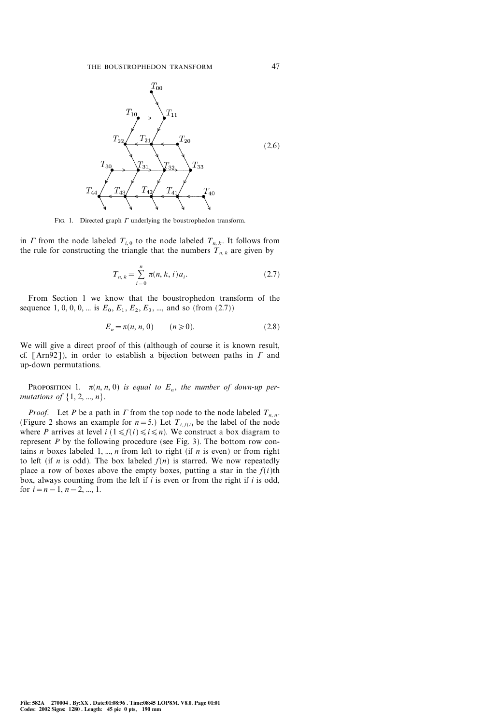

FIG. 1. Directed graph  $\Gamma$  underlying the boustrophedon transform.

in  $\Gamma$  from the node labeled  $T_{i,0}$  to the node labeled  $T_{n,k}$ . It follows from the rule for constructing the triangle that the numbers  $T_{n,k}$  are given by

$$
T_{n,k} = \sum_{i=0}^{n} \pi(n,k,i)a_i.
$$
 (2.7)

From Section 1 we know that the boustrophedon transform of the sequence 1, 0, 0, 0, ... is  $E_0$ ,  $E_1$ ,  $E_2$ ,  $E_3$ , ..., and so (from (2.7))

$$
E_n = \pi(n, n, 0) \qquad (n \ge 0). \tag{2.8}
$$

We will give a direct proof of this (although of course it is known result, cf. [Arn92]), in order to establish a bijection between paths in  $\Gamma$  and up-down permutations.

PROPOSITION 1.  $\pi(n, n, 0)$  is equal to  $E_n$ , the number of down-up permutations of  $\{1, 2, ..., n\}$ .

*Proof.* Let P be a path in  $\Gamma$  from the top node to the node labeled  $T_{n,n}$ . (Figure 2 shows an example for  $n=5$ .) Let  $T_{i,f(i)}$  be the label of the node where P arrives at level  $i$  ( $1 \le f(i) \le i \le n$ ). We construct a box diagram to represent  $P$  by the following procedure (see Fig. 3). The bottom row contains *n* boxes labeled 1, ..., *n* from left to right (if *n* is even) or from right to left (if *n* is odd). The box labeled  $f(n)$  is starred. We now repeatedly place a row of boxes above the empty boxes, putting a star in the  $f(i)$ th box, always counting from the left if  $i$  is even or from the right if  $i$  is odd, for  $i=n-1, n-2, ..., 1$ .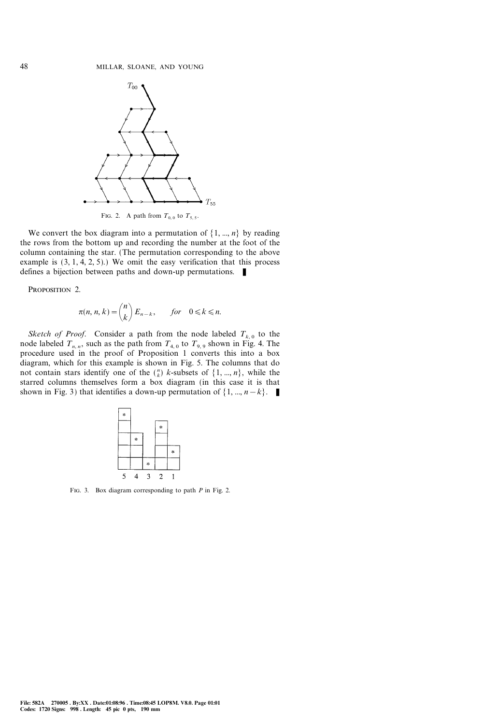

FIG. 2. A path from  $T_{0,0}$  to  $T_{5,5}$ .

We convert the box diagram into a permutation of  $\{1, ..., n\}$  by reading the rows from the bottom up and recording the number at the foot of the column containing the star. (The permutation corresponding to the above example is  $(3, 1, 4, 2, 5)$ .) We omit the easy verification that this process defines a bijection between paths and down-up permutations.  $\blacksquare$ 

PROPOSITION 2.

$$
\pi(n, n, k) = {n \choose k} E_{n-k}, \quad \text{for} \quad 0 \le k \le n.
$$

Sketch of Proof. Consider a path from the node labeled  $T_{k,0}$  to the node labeled  $T_{n,n}$ , such as the path from  $T_{4,0}$  to  $T_{9,9}$  shown in Fig. 4. The procedure used in the proof of Proposition 1 converts this into a box diagram, which for this example is shown in Fig. 5. The columns that do not contain stars identify one of the  $\binom{n}{k}$  k-subsets of  $\{1, ..., n\}$ , while the starred columns themselves form a box diagram (in this case it is that shown in Fig. 3) that identifies a down-up permutation of  $\{1, ..., n-k\}$ .



FIG. 3. Box diagram corresponding to path  $P$  in Fig. 2.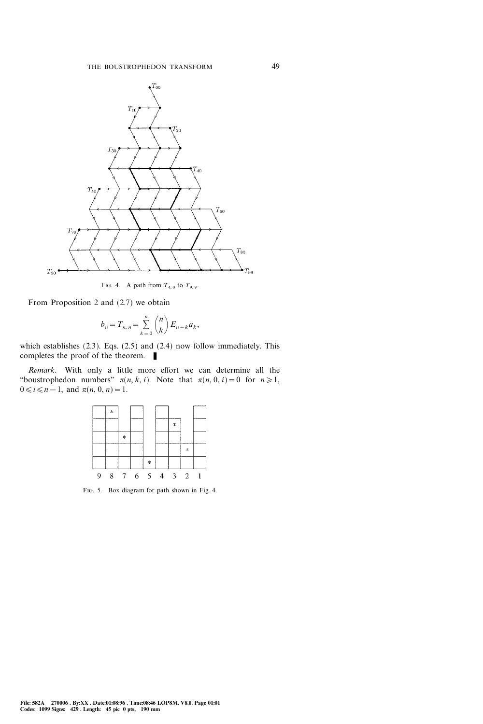

FIG. 4. A path from  $T_{4,0}$  to  $T_{9,9}$ .

From Proposition 2 and (2.7) we obtain

$$
b_n = T_{n,n} = \sum_{k=0}^n \binom{n}{k} E_{n-k} a_k,
$$

which establishes (2.3). Eqs. (2.5) and (2.4) now follow immediately. This completes the proof of the theorem.  $\blacksquare$ 

Remark. With only a little more effort we can determine all the "boustrophedon numbers"  $\pi(n, k, i)$ . Note that  $\pi(n, 0, i)=0$  for  $n\geq 1$ ,  $0 \le i \le n-1$ , and  $\pi(n, 0, n)=1$ .



Fig. 5. Box diagram for path shown in Fig. 4.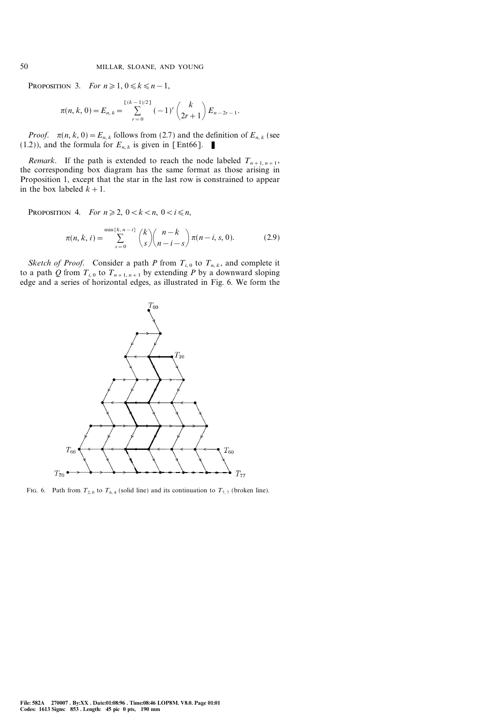PROPOSITION 3. For  $n \geq 1, 0 \leq k \leq n-1$ ,

$$
\pi(n, k, 0) = E_{n, k} = \sum_{r=0}^{\left[\frac{k}{2}-1\right)/2} (-1)^r {k \choose 2r+1} E_{n-2r-1}.
$$

*Proof.*  $\pi(n, k, 0) = E_{n, k}$  follows from (2.7) and the definition of  $E_{n, k}$  (see (1.2)), and the formula for  $E_{n,k}$  is given in [Ent66].

*Remark*. If the path is extended to reach the node labeled  $T_{n+1, n+1}$ , the corresponding box diagram has the same format as those arising in Proposition 1, except that the star in the last row is constrained to appear in the box labeled  $k+1$ .

PROPOSITION 4. For  $n \ge 2$ ,  $0 < k < n$ ,  $0 < i \le n$ ,

$$
\pi(n, k, i) = \sum_{s=0}^{\min\{k, n-i\}} {k \choose s} {n-k \choose n-i-s} \pi(n-i, s, 0).
$$
 (2.9)

Sketch of Proof. Consider a path P from  $T_{i,0}$  to  $T_{n,k}$ , and complete it to a path Q from  $T_{i,0}$  to  $T_{n+1,n+1}$  by extending P by a downward sloping edge and a series of horizontal edges, as illustrated in Fig. 6. We form the



Fig. 6. Path from  $T_{2,0}$  to  $T_{6,4}$  (solid line) and its continuation to  $T_{7,7}$  (broken line).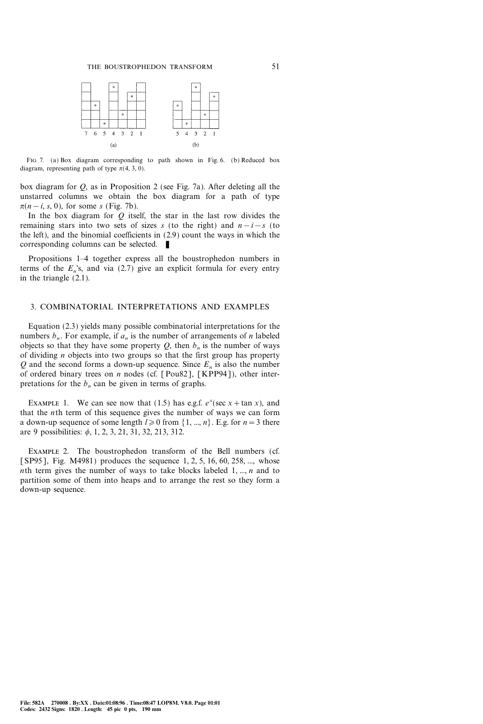

Fig 7. (a) Box diagram corresponding to path shown in Fig. 6. (b) Reduced box diagram, representing path of type  $\pi$ (4, 3, 0).

box diagram for Q, as in Proposition 2 (see Fig. 7a). After deleting all the unstarred columns we obtain the box diagram for a path of type  $\pi(n-i, s, 0)$ , for some s (Fig. 7b).

In the box diagram for  $Q$  itself, the star in the last row divides the remaining stars into two sets of sizes s (to the right) and  $n-i-s$  (to the left), and the binomial coefficients in (2.9) count the ways in which the corresponding columns can be selected.

Propositions 1–4 together express all the boustrophedon numbers in terms of the  $E_n$ 's, and via (2.7) give an explicit formula for every entry in the triangle (2.1).

### 3. COMBINATORIAL INTERPRETATIONS AND EXAMPLES

Equation (2.3) yields many possible combinatorial interpretations for the numbers  $b_n$ . For example, if  $a_n$  is the number of arrangements of n labeled objects so that they have some property  $Q$ , then  $b_n$  is the number of ways of dividing  $n$  objects into two groups so that the first group has property O and the second forms a down-up sequence. Since  $E_n$  is also the number of ordered binary trees on *n* nodes (cf. [Pou82], [KPP94]), other interpretations for the  $b_n$  can be given in terms of graphs.

EXAMPLE 1. We can see now that (1.5) has e.g.f.  $e^x$ (sec x + tan x), and that the *n*th term of this sequence gives the number of ways we can form a down-up sequence of some length  $l \ge 0$  from  $\{1, ..., n\}$ . E.g. for  $n=3$  there are 9 possibilities:  $\phi$ , 1, 2, 3, 21, 31, 32, 213, 312.

Example 2. The boustrophedon transform of the Bell numbers (cf. [SP95], Fig. M4981) produces the sequence 1, 2, 5, 16, 60, 258, ..., whose nth term gives the number of ways to take blocks labeled 1, ..., n and to partition some of them into heaps and to arrange the rest so they form a down-up sequence.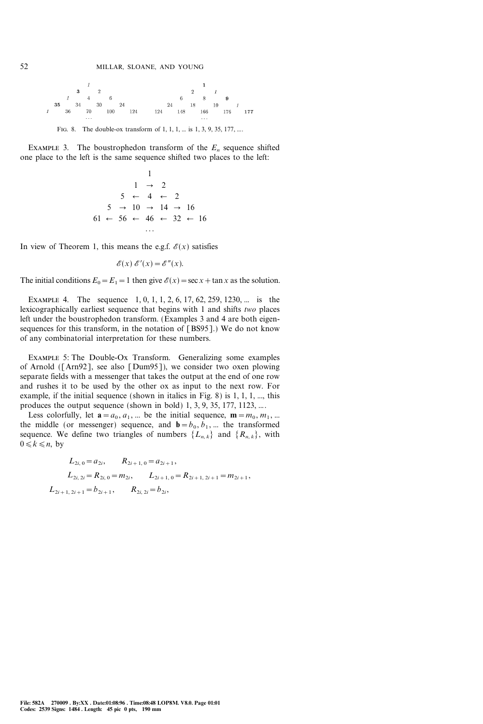

FIG. 8. The double-ox transform of 1, 1, 1, ... is 1, 3, 9, 35, 177, ...

EXAMPLE 3. The boustrophedon transform of the  $E_n$  sequence shifted one place to the left is the same sequence shifted two places to the left:

1 1 2 5 4 2 5 10 14 16 61 56 46 32 16 }}}

In view of Theorem 1, this means the e.g.f.  $\mathcal{E}(x)$  satisfies

$$
\mathscr{E}(x)\ \mathscr{E}'(x) = \mathscr{E}''(x).
$$

The initial conditions  $E_0 = E_1 = 1$  then give  $\mathscr{E}(x) = \sec x + \tan x$  as the solution.

EXAMPLE 4. The sequence 1, 0, 1, 1, 2, 6, 17, 62, 259, 1230, ... is the lexicographically earliest sequence that begins with 1 and shifts two places left under the boustrophedon transform. (Examples 3 and 4 are both eigensequences for this transform, in the notation of [BS95].) We do not know of any combinatorial interpretation for these numbers.

Example 5: The Double-Ox Transform. Generalizing some examples of Arnold ([Arn92], see also [Dum95]), we consider two oxen plowing separate fields with a messenger that takes the output at the end of one row and rushes it to be used by the other ox as input to the next row. For example, if the initial sequence (shown in italics in Fig. 8) is 1, 1, 1, ..., this produces the output sequence (shown in bold) 1, 3, 9, 35, 177, 1123, ....

Less colorfully, let  $\mathbf{a} = a_0, a_1, ...$  be the initial sequence,  $\mathbf{m} = m_0, m_1, ...$ the middle (or messenger) sequence, and  $\mathbf{b}=b_0, b_1, ...$  the transformed sequence. We define two triangles of numbers  $\{L_{n,k}\}\$  and  $\{R_{n,k}\}\$ , with  $0 \leq k \leq n$ , by

$$
L_{2i, 0} = a_{2i}, \t R_{2i+1, 0} = a_{2i+1},
$$
  
\n
$$
L_{2i, 2i} = R_{2i, 0} = m_{2i}, \t L_{2i+1, 0} = R_{2i+1, 2i+1} = m_{2i+1},
$$
  
\n
$$
L_{2i+1, 2i+1} = b_{2i+1}, \t R_{2i, 2i} = b_{2i},
$$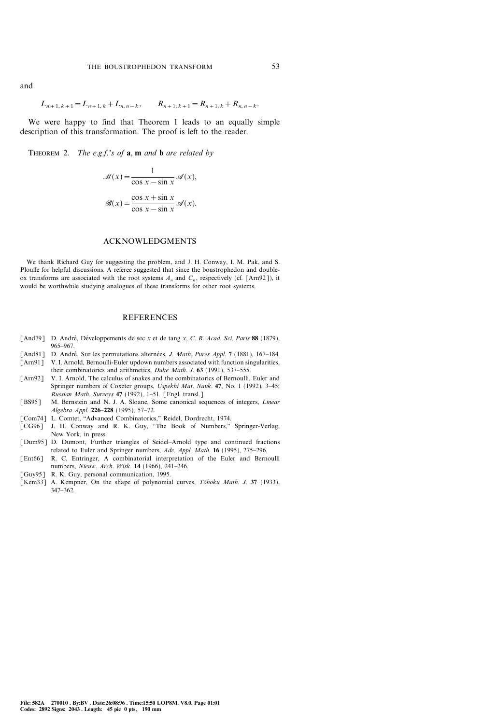and

$$
L_{n+1,k+1} = L_{n+1,k} + L_{n,n-k}, \qquad R_{n+1,k+1} = R_{n+1,k} + R_{n,n-k}.
$$

We were happy to find that Theorem 1 leads to an equally simple description of this transformation. The proof is left to the reader.

THEOREM 2. The e.g.f.'s of  $\mathbf{a}$ ,  $\mathbf{m}$  and  $\mathbf{b}$  are related by

$$
\mathcal{M}(x) = \frac{1}{\cos x - \sin x} \mathcal{A}(x),
$$

$$
\mathcal{B}(x) = \frac{\cos x + \sin x}{\cos x - \sin x} \mathcal{A}(x).
$$

#### ACKNOWLEDGMENTS

We thank Richard Guy for suggesting the problem, and J. H. Conway, I. M. Pak, and S. Plouffe for helpful discussions. A referee suggested that since the boustrophedon and doubleox transforms are associated with the root systems  $A_n$  and  $C_n$ , respectively (cf. [Arn92]), it would be worthwhile studying analogues of these transforms for other root systems.

#### REFERENCES

- [And79] D. André, Développements de sec x et de tang x, C. R. Acad. Sci. Paris 88 (1879), 965-967.
- [And81] D. André, Sur les permutations alternées, J. Math. Pures Appl. 7 (1881), 167-184.
- [Arn91] V. I. Arnold, Bernoulli-Euler updown numbers associated with function singularities, their combinatorics and arithmetics, Duke Math. J.  $63$  (1991), 537–555.
- [Arn92] V. I. Arnold, The calculus of snakes and the combinatorics of Bernoulli, Euler and Springer numbers of Coxeter groups, Uspekhi Mat. Nauk. 47, No. 1 (1992), 3-45; Russian Math. Surveys 47 (1992), 1-51. [Engl. transl.]
- [BS95] M. Bernstein and N. J. A. Sloane, Some canonical sequences of integers, Linear Algebra Appl. 226-228 (1995), 57-72.
- [Com74] L. Comtet, "Advanced Combinatorics," Reidel, Dordrecht, 1974.
- [CG96] J. H. Conway and R. K. Guy, "The Book of Numbers," Springer-Verlag, New York, in press.
- [Dum95] D. Dumont, Further triangles of Seidel-Arnold type and continued fractions related to Euler and Springer numbers, Adv. Appl. Math. 16 (1995), 275-296.
- [Ent66] R. C. Entringer, A combinatorial interpretation of the Euler and Bernoulli numbers, Nieuw. Arch. Wisk. 14 (1966), 241-246.
- [Guy95] R. K. Guy, personal communication, 1995.
- [Kem33] A. Kempner, On the shape of polynomial curves, Tô hoku Math. J. 37 (1933), 347-362.